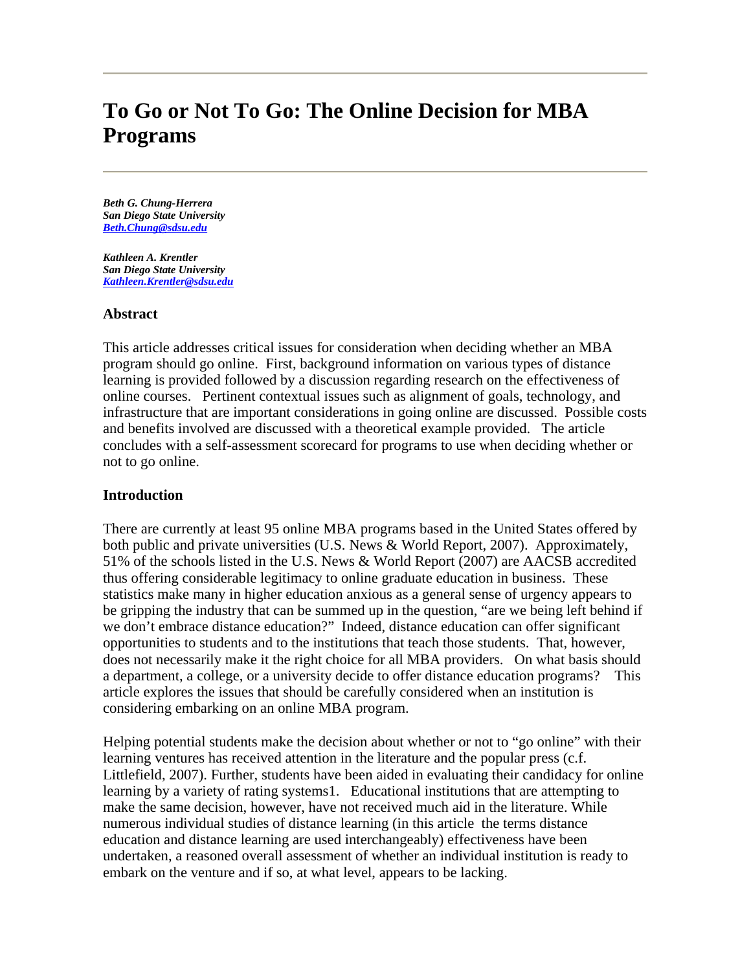# **To Go or Not To Go: The Online Decision for MBA Programs**

*Beth G. Chung-Herrera San Diego State University Beth.Chung@sdsu.edu* 

*Kathleen A. Krentler San Diego State University Kathleen.Krentler@sdsu.edu* 

#### **Abstract**

This article addresses critical issues for consideration when deciding whether an MBA program should go online. First, background information on various types of distance learning is provided followed by a discussion regarding research on the effectiveness of online courses. Pertinent contextual issues such as alignment of goals, technology, and infrastructure that are important considerations in going online are discussed. Possible costs and benefits involved are discussed with a theoretical example provided. The article concludes with a self-assessment scorecard for programs to use when deciding whether or not to go online.

## **Introduction**

There are currently at least 95 online MBA programs based in the United States offered by both public and private universities (U.S. News & World Report, 2007). Approximately, 51% of the schools listed in the U.S. News & World Report (2007) are AACSB accredited thus offering considerable legitimacy to online graduate education in business. These statistics make many in higher education anxious as a general sense of urgency appears to be gripping the industry that can be summed up in the question, "are we being left behind if we don't embrace distance education?" Indeed, distance education can offer significant opportunities to students and to the institutions that teach those students. That, however, does not necessarily make it the right choice for all MBA providers. On what basis should a department, a college, or a university decide to offer distance education programs? This article explores the issues that should be carefully considered when an institution is considering embarking on an online MBA program.

Helping potential students make the decision about whether or not to "go online" with their learning ventures has received attention in the literature and the popular press (c.f. Littlefield, 2007). Further, students have been aided in evaluating their candidacy for online learning by a variety of rating systems1. Educational institutions that are attempting to make the same decision, however, have not received much aid in the literature. While numerous individual studies of distance learning (in this article the terms distance education and distance learning are used interchangeably) effectiveness have been undertaken, a reasoned overall assessment of whether an individual institution is ready to embark on the venture and if so, at what level, appears to be lacking.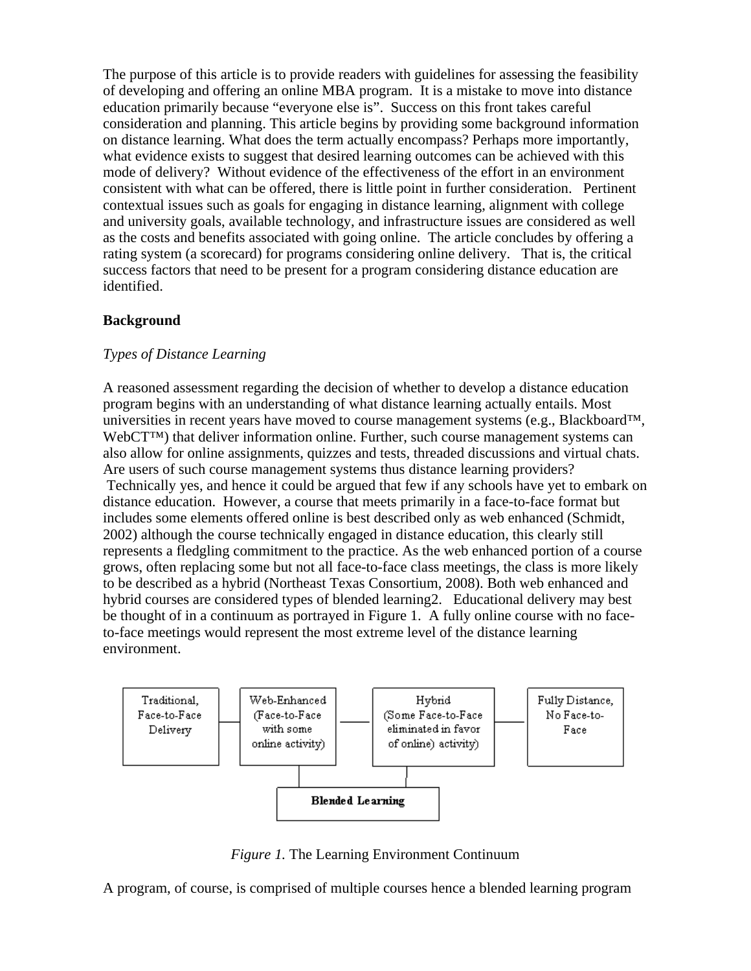The purpose of this article is to provide readers with guidelines for assessing the feasibility of developing and offering an online MBA program. It is a mistake to move into distance education primarily because "everyone else is". Success on this front takes careful consideration and planning. This article begins by providing some background information on distance learning. What does the term actually encompass? Perhaps more importantly, what evidence exists to suggest that desired learning outcomes can be achieved with this mode of delivery? Without evidence of the effectiveness of the effort in an environment consistent with what can be offered, there is little point in further consideration. Pertinent contextual issues such as goals for engaging in distance learning, alignment with college and university goals, available technology, and infrastructure issues are considered as well as the costs and benefits associated with going online. The article concludes by offering a rating system (a scorecard) for programs considering online delivery. That is, the critical success factors that need to be present for a program considering distance education are identified.

## **Background**

## *Types of Distance Learning*

A reasoned assessment regarding the decision of whether to develop a distance education program begins with an understanding of what distance learning actually entails. Most universities in recent years have moved to course management systems (e.g., Blackboard<sup>™,</sup> WebCT™) that deliver information online. Further, such course management systems can also allow for online assignments, quizzes and tests, threaded discussions and virtual chats. Are users of such course management systems thus distance learning providers? Technically yes, and hence it could be argued that few if any schools have yet to embark on distance education. However, a course that meets primarily in a face-to-face format but includes some elements offered online is best described only as web enhanced (Schmidt, 2002) although the course technically engaged in distance education, this clearly still represents a fledgling commitment to the practice. As the web enhanced portion of a course grows, often replacing some but not all face-to-face class meetings, the class is more likely to be described as a hybrid (Northeast Texas Consortium, 2008). Both web enhanced and hybrid courses are considered types of blended learning2. Educational delivery may best be thought of in a continuum as portrayed in Figure 1. A fully online course with no faceto-face meetings would represent the most extreme level of the distance learning environment.



*Figure 1.* The Learning Environment Continuum

A program, of course, is comprised of multiple courses hence a blended learning program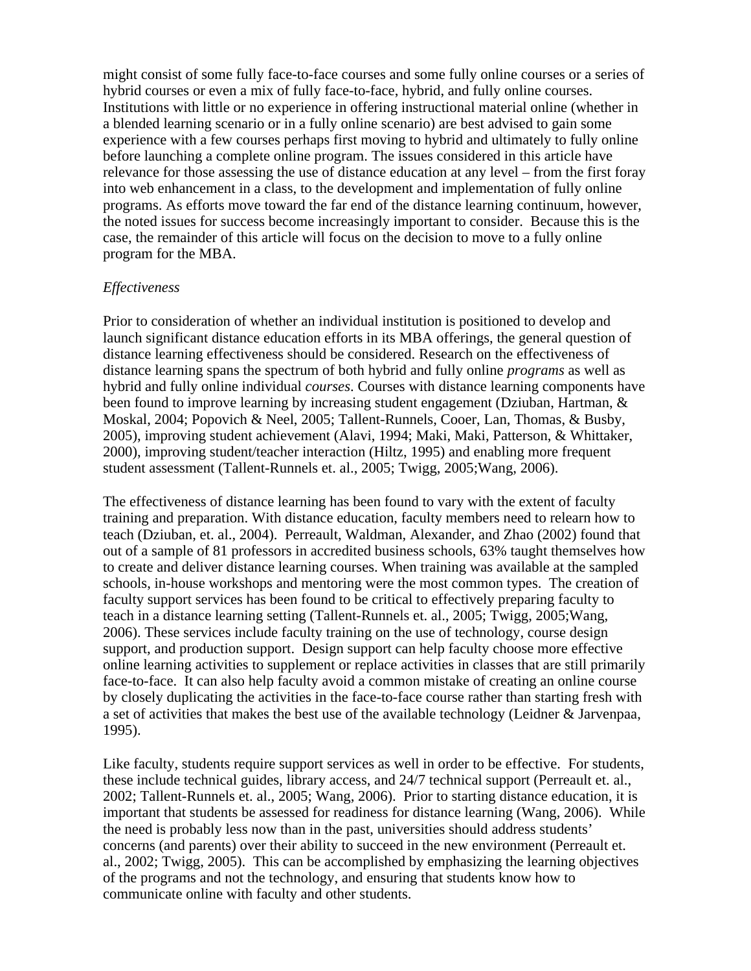might consist of some fully face-to-face courses and some fully online courses or a series of hybrid courses or even a mix of fully face-to-face, hybrid, and fully online courses. Institutions with little or no experience in offering instructional material online (whether in a blended learning scenario or in a fully online scenario) are best advised to gain some experience with a few courses perhaps first moving to hybrid and ultimately to fully online before launching a complete online program. The issues considered in this article have relevance for those assessing the use of distance education at any level – from the first foray into web enhancement in a class, to the development and implementation of fully online programs. As efforts move toward the far end of the distance learning continuum, however, the noted issues for success become increasingly important to consider. Because this is the case, the remainder of this article will focus on the decision to move to a fully online program for the MBA.

#### *Effectiveness*

Prior to consideration of whether an individual institution is positioned to develop and launch significant distance education efforts in its MBA offerings, the general question of distance learning effectiveness should be considered. Research on the effectiveness of distance learning spans the spectrum of both hybrid and fully online *programs* as well as hybrid and fully online individual *courses*. Courses with distance learning components have been found to improve learning by increasing student engagement (Dziuban, Hartman, & Moskal, 2004; Popovich & Neel, 2005; Tallent-Runnels, Cooer, Lan, Thomas, & Busby, 2005), improving student achievement (Alavi, 1994; Maki, Maki, Patterson, & Whittaker, 2000), improving student/teacher interaction (Hiltz, 1995) and enabling more frequent student assessment (Tallent-Runnels et. al., 2005; Twigg, 2005;Wang, 2006).

The effectiveness of distance learning has been found to vary with the extent of faculty training and preparation. With distance education, faculty members need to relearn how to teach (Dziuban, et. al., 2004). Perreault, Waldman, Alexander, and Zhao (2002) found that out of a sample of 81 professors in accredited business schools, 63% taught themselves how to create and deliver distance learning courses. When training was available at the sampled schools, in-house workshops and mentoring were the most common types. The creation of faculty support services has been found to be critical to effectively preparing faculty to teach in a distance learning setting (Tallent-Runnels et. al., 2005; Twigg, 2005;Wang, 2006). These services include faculty training on the use of technology, course design support, and production support. Design support can help faculty choose more effective online learning activities to supplement or replace activities in classes that are still primarily face-to-face. It can also help faculty avoid a common mistake of creating an online course by closely duplicating the activities in the face-to-face course rather than starting fresh with a set of activities that makes the best use of the available technology (Leidner & Jarvenpaa, 1995).

Like faculty, students require support services as well in order to be effective. For students, these include technical guides, library access, and 24/7 technical support (Perreault et. al., 2002; Tallent-Runnels et. al., 2005; Wang, 2006). Prior to starting distance education, it is important that students be assessed for readiness for distance learning (Wang, 2006). While the need is probably less now than in the past, universities should address students' concerns (and parents) over their ability to succeed in the new environment (Perreault et. al., 2002; Twigg, 2005). This can be accomplished by emphasizing the learning objectives of the programs and not the technology, and ensuring that students know how to communicate online with faculty and other students.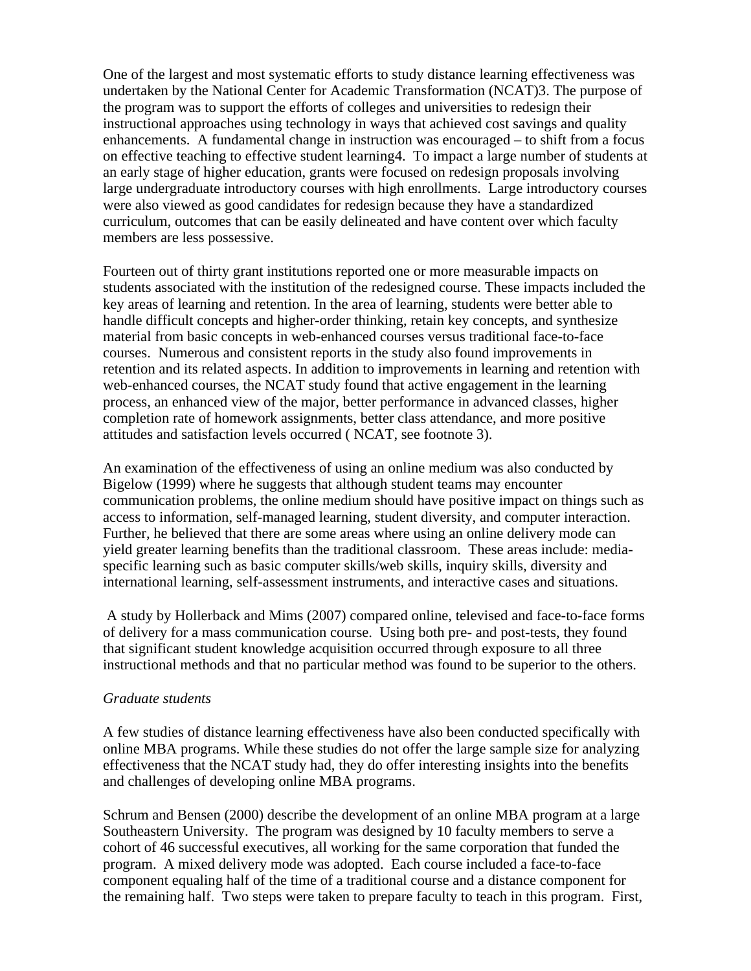One of the largest and most systematic efforts to study distance learning effectiveness was undertaken by the National Center for Academic Transformation (NCAT)3. The purpose of the program was to support the efforts of colleges and universities to redesign their instructional approaches using technology in ways that achieved cost savings and quality enhancements. A fundamental change in instruction was encouraged – to shift from a focus on effective teaching to effective student learning4. To impact a large number of students at an early stage of higher education, grants were focused on redesign proposals involving large undergraduate introductory courses with high enrollments. Large introductory courses were also viewed as good candidates for redesign because they have a standardized curriculum, outcomes that can be easily delineated and have content over which faculty members are less possessive.

Fourteen out of thirty grant institutions reported one or more measurable impacts on students associated with the institution of the redesigned course. These impacts included the key areas of learning and retention. In the area of learning, students were better able to handle difficult concepts and higher-order thinking, retain key concepts, and synthesize material from basic concepts in web-enhanced courses versus traditional face-to-face courses. Numerous and consistent reports in the study also found improvements in retention and its related aspects. In addition to improvements in learning and retention with web-enhanced courses, the NCAT study found that active engagement in the learning process, an enhanced view of the major, better performance in advanced classes, higher completion rate of homework assignments, better class attendance, and more positive attitudes and satisfaction levels occurred ( NCAT, see footnote 3).

An examination of the effectiveness of using an online medium was also conducted by Bigelow (1999) where he suggests that although student teams may encounter communication problems, the online medium should have positive impact on things such as access to information, self-managed learning, student diversity, and computer interaction. Further, he believed that there are some areas where using an online delivery mode can yield greater learning benefits than the traditional classroom. These areas include: mediaspecific learning such as basic computer skills/web skills, inquiry skills, diversity and international learning, self-assessment instruments, and interactive cases and situations.

 A study by Hollerback and Mims (2007) compared online, televised and face-to-face forms of delivery for a mass communication course. Using both pre- and post-tests, they found that significant student knowledge acquisition occurred through exposure to all three instructional methods and that no particular method was found to be superior to the others.

#### *Graduate students*

A few studies of distance learning effectiveness have also been conducted specifically with online MBA programs. While these studies do not offer the large sample size for analyzing effectiveness that the NCAT study had, they do offer interesting insights into the benefits and challenges of developing online MBA programs.

Schrum and Bensen (2000) describe the development of an online MBA program at a large Southeastern University. The program was designed by 10 faculty members to serve a cohort of 46 successful executives, all working for the same corporation that funded the program. A mixed delivery mode was adopted. Each course included a face-to-face component equaling half of the time of a traditional course and a distance component for the remaining half. Two steps were taken to prepare faculty to teach in this program. First,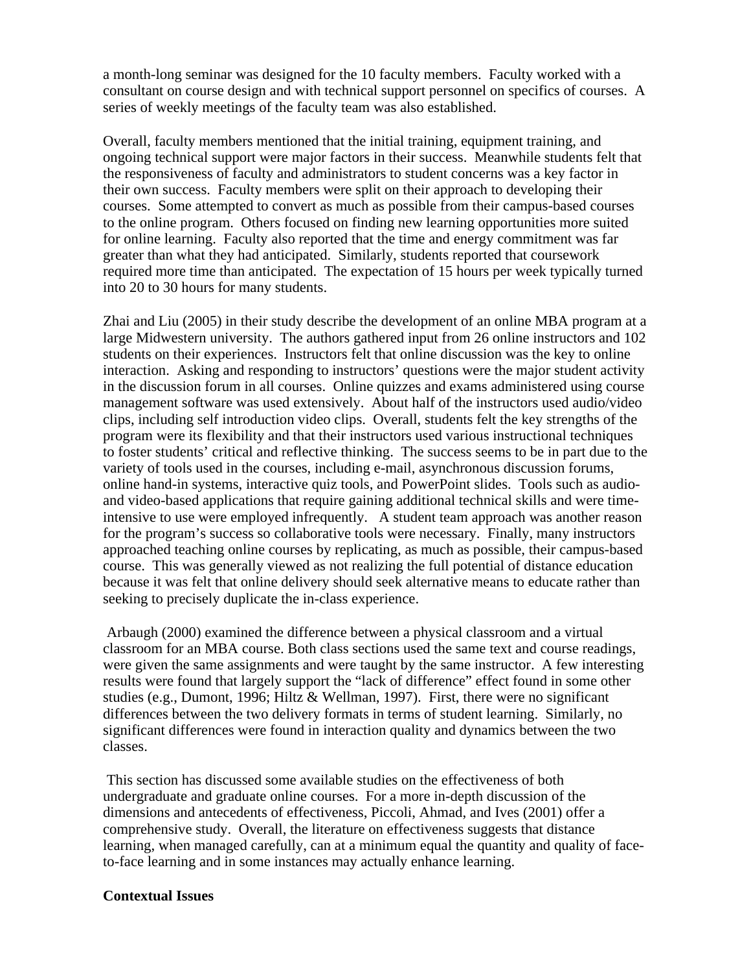a month-long seminar was designed for the 10 faculty members. Faculty worked with a consultant on course design and with technical support personnel on specifics of courses. A series of weekly meetings of the faculty team was also established.

Overall, faculty members mentioned that the initial training, equipment training, and ongoing technical support were major factors in their success. Meanwhile students felt that the responsiveness of faculty and administrators to student concerns was a key factor in their own success. Faculty members were split on their approach to developing their courses. Some attempted to convert as much as possible from their campus-based courses to the online program. Others focused on finding new learning opportunities more suited for online learning. Faculty also reported that the time and energy commitment was far greater than what they had anticipated. Similarly, students reported that coursework required more time than anticipated. The expectation of 15 hours per week typically turned into 20 to 30 hours for many students.

Zhai and Liu (2005) in their study describe the development of an online MBA program at a large Midwestern university. The authors gathered input from 26 online instructors and 102 students on their experiences. Instructors felt that online discussion was the key to online interaction. Asking and responding to instructors' questions were the major student activity in the discussion forum in all courses. Online quizzes and exams administered using course management software was used extensively. About half of the instructors used audio/video clips, including self introduction video clips. Overall, students felt the key strengths of the program were its flexibility and that their instructors used various instructional techniques to foster students' critical and reflective thinking. The success seems to be in part due to the variety of tools used in the courses, including e-mail, asynchronous discussion forums, online hand-in systems, interactive quiz tools, and PowerPoint slides. Tools such as audioand video-based applications that require gaining additional technical skills and were timeintensive to use were employed infrequently. A student team approach was another reason for the program's success so collaborative tools were necessary. Finally, many instructors approached teaching online courses by replicating, as much as possible, their campus-based course. This was generally viewed as not realizing the full potential of distance education because it was felt that online delivery should seek alternative means to educate rather than seeking to precisely duplicate the in-class experience.

 Arbaugh (2000) examined the difference between a physical classroom and a virtual classroom for an MBA course. Both class sections used the same text and course readings, were given the same assignments and were taught by the same instructor. A few interesting results were found that largely support the "lack of difference" effect found in some other studies (e.g., Dumont, 1996; Hiltz & Wellman, 1997). First, there were no significant differences between the two delivery formats in terms of student learning. Similarly, no significant differences were found in interaction quality and dynamics between the two classes.

 This section has discussed some available studies on the effectiveness of both undergraduate and graduate online courses. For a more in-depth discussion of the dimensions and antecedents of effectiveness, Piccoli, Ahmad, and Ives (2001) offer a comprehensive study. Overall, the literature on effectiveness suggests that distance learning, when managed carefully, can at a minimum equal the quantity and quality of faceto-face learning and in some instances may actually enhance learning.

#### **Contextual Issues**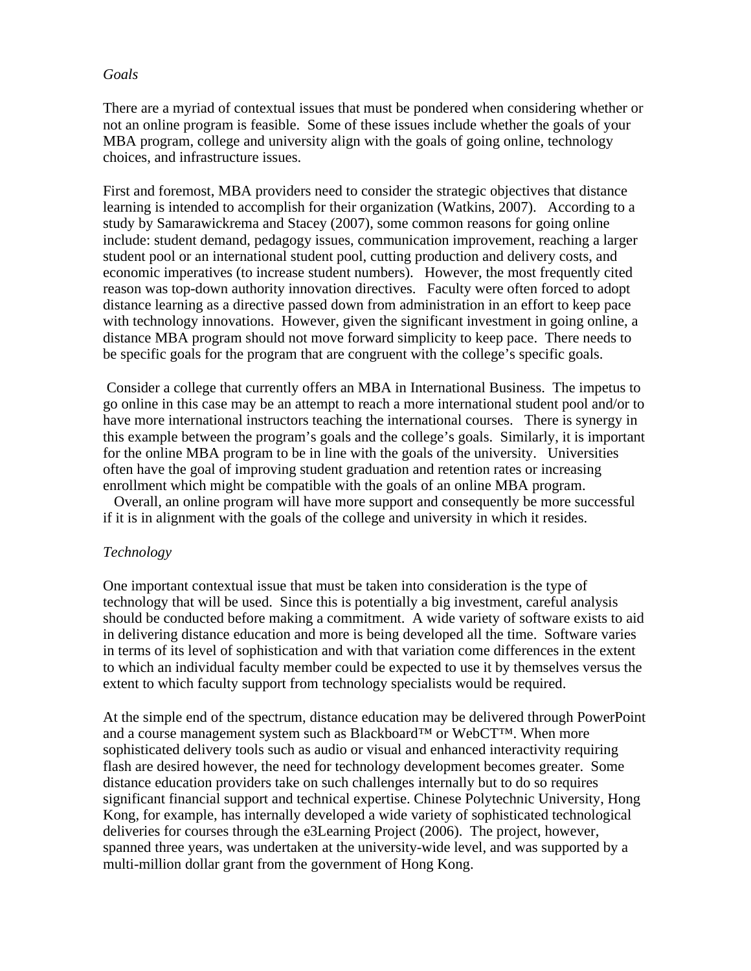#### *Goals*

There are a myriad of contextual issues that must be pondered when considering whether or not an online program is feasible. Some of these issues include whether the goals of your MBA program, college and university align with the goals of going online, technology choices, and infrastructure issues.

First and foremost, MBA providers need to consider the strategic objectives that distance learning is intended to accomplish for their organization (Watkins, 2007). According to a study by Samarawickrema and Stacey (2007), some common reasons for going online include: student demand, pedagogy issues, communication improvement, reaching a larger student pool or an international student pool, cutting production and delivery costs, and economic imperatives (to increase student numbers). However, the most frequently cited reason was top-down authority innovation directives. Faculty were often forced to adopt distance learning as a directive passed down from administration in an effort to keep pace with technology innovations. However, given the significant investment in going online, a distance MBA program should not move forward simplicity to keep pace. There needs to be specific goals for the program that are congruent with the college's specific goals.

 Consider a college that currently offers an MBA in International Business. The impetus to go online in this case may be an attempt to reach a more international student pool and/or to have more international instructors teaching the international courses. There is synergy in this example between the program's goals and the college's goals. Similarly, it is important for the online MBA program to be in line with the goals of the university. Universities often have the goal of improving student graduation and retention rates or increasing enrollment which might be compatible with the goals of an online MBA program.

 Overall, an online program will have more support and consequently be more successful if it is in alignment with the goals of the college and university in which it resides.

#### *Technology*

One important contextual issue that must be taken into consideration is the type of technology that will be used. Since this is potentially a big investment, careful analysis should be conducted before making a commitment. A wide variety of software exists to aid in delivering distance education and more is being developed all the time. Software varies in terms of its level of sophistication and with that variation come differences in the extent to which an individual faculty member could be expected to use it by themselves versus the extent to which faculty support from technology specialists would be required.

At the simple end of the spectrum, distance education may be delivered through PowerPoint and a course management system such as Blackboard<sup>™</sup> or WebCT<sup>™</sup>. When more sophisticated delivery tools such as audio or visual and enhanced interactivity requiring flash are desired however, the need for technology development becomes greater. Some distance education providers take on such challenges internally but to do so requires significant financial support and technical expertise. Chinese Polytechnic University, Hong Kong, for example, has internally developed a wide variety of sophisticated technological deliveries for courses through the e3Learning Project (2006). The project, however, spanned three years, was undertaken at the university-wide level, and was supported by a multi-million dollar grant from the government of Hong Kong.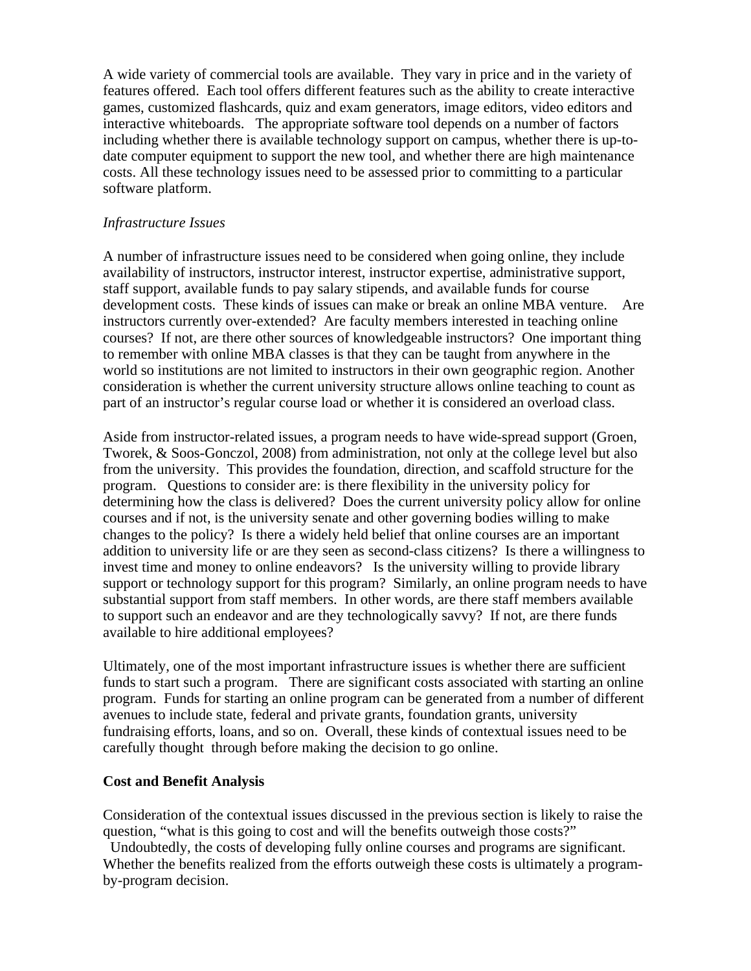A wide variety of commercial tools are available. They vary in price and in the variety of features offered. Each tool offers different features such as the ability to create interactive games, customized flashcards, quiz and exam generators, image editors, video editors and interactive whiteboards. The appropriate software tool depends on a number of factors including whether there is available technology support on campus, whether there is up-todate computer equipment to support the new tool, and whether there are high maintenance costs. All these technology issues need to be assessed prior to committing to a particular software platform.

#### *Infrastructure Issues*

A number of infrastructure issues need to be considered when going online, they include availability of instructors, instructor interest, instructor expertise, administrative support, staff support, available funds to pay salary stipends, and available funds for course development costs. These kinds of issues can make or break an online MBA venture. Are instructors currently over-extended? Are faculty members interested in teaching online courses? If not, are there other sources of knowledgeable instructors? One important thing to remember with online MBA classes is that they can be taught from anywhere in the world so institutions are not limited to instructors in their own geographic region. Another consideration is whether the current university structure allows online teaching to count as part of an instructor's regular course load or whether it is considered an overload class.

Aside from instructor-related issues, a program needs to have wide-spread support (Groen, Tworek, & Soos-Gonczol, 2008) from administration, not only at the college level but also from the university. This provides the foundation, direction, and scaffold structure for the program. Questions to consider are: is there flexibility in the university policy for determining how the class is delivered? Does the current university policy allow for online courses and if not, is the university senate and other governing bodies willing to make changes to the policy? Is there a widely held belief that online courses are an important addition to university life or are they seen as second-class citizens? Is there a willingness to invest time and money to online endeavors? Is the university willing to provide library support or technology support for this program? Similarly, an online program needs to have substantial support from staff members. In other words, are there staff members available to support such an endeavor and are they technologically savvy? If not, are there funds available to hire additional employees?

Ultimately, one of the most important infrastructure issues is whether there are sufficient funds to start such a program. There are significant costs associated with starting an online program. Funds for starting an online program can be generated from a number of different avenues to include state, federal and private grants, foundation grants, university fundraising efforts, loans, and so on. Overall, these kinds of contextual issues need to be carefully thought through before making the decision to go online.

## **Cost and Benefit Analysis**

Consideration of the contextual issues discussed in the previous section is likely to raise the question, "what is this going to cost and will the benefits outweigh those costs?"

 Undoubtedly, the costs of developing fully online courses and programs are significant. Whether the benefits realized from the efforts outweigh these costs is ultimately a programby-program decision.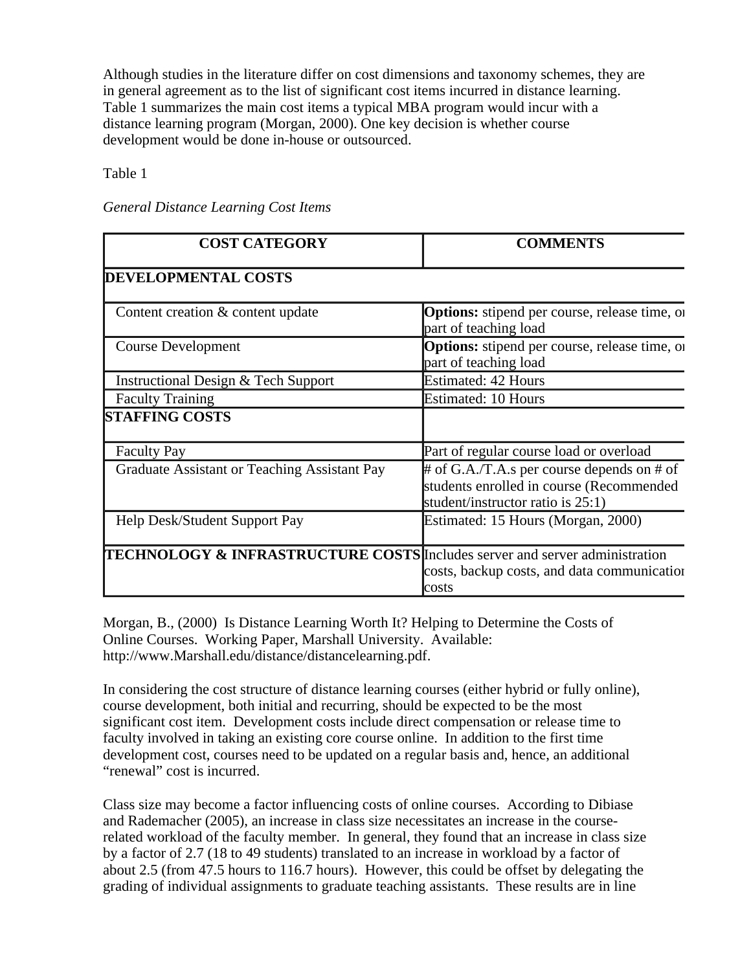Although studies in the literature differ on cost dimensions and taxonomy schemes, they are in general agreement as to the list of significant cost items incurred in distance learning. Table 1 summarizes the main cost items a typical MBA program would incur with a distance learning program (Morgan, 2000). One key decision is whether course development would be done in-house or outsourced.

Table 1

| <b>COST CATEGORY</b>                                                                   | <b>COMMENTS</b>                                                                                                                 |
|----------------------------------------------------------------------------------------|---------------------------------------------------------------------------------------------------------------------------------|
| <b>DEVELOPMENTAL COSTS</b>                                                             |                                                                                                                                 |
| Content creation & content update                                                      | <b>Options:</b> stipend per course, release time, or<br>part of teaching load                                                   |
| Course Development                                                                     | <b>Options:</b> stipend per course, release time, or<br>part of teaching load                                                   |
| Instructional Design & Tech Support                                                    | <b>Estimated: 42 Hours</b>                                                                                                      |
| <b>Faculty Training</b>                                                                | <b>Estimated: 10 Hours</b>                                                                                                      |
| <b>STAFFING COSTS</b>                                                                  |                                                                                                                                 |
| <b>Faculty Pay</b>                                                                     | Part of regular course load or overload                                                                                         |
| Graduate Assistant or Teaching Assistant Pay                                           | $#$ of G.A./T.A.s per course depends on $#$ of<br>students enrolled in course (Recommended<br>student/instructor ratio is 25:1) |
| Help Desk/Student Support Pay                                                          | Estimated: 15 Hours (Morgan, 2000)                                                                                              |
| <b>TECHNOLOGY &amp; INFRASTRUCTURE COSTS</b> Includes server and server administration | costs, backup costs, and data communication<br>costs                                                                            |

*General Distance Learning Cost Items*

Morgan, B., (2000) Is Distance Learning Worth It? Helping to Determine the Costs of Online Courses. Working Paper, Marshall University. Available: http://www.Marshall.edu/distance/distancelearning.pdf.

In considering the cost structure of distance learning courses (either hybrid or fully online), course development, both initial and recurring, should be expected to be the most significant cost item. Development costs include direct compensation or release time to faculty involved in taking an existing core course online. In addition to the first time development cost, courses need to be updated on a regular basis and, hence, an additional "renewal" cost is incurred.

Class size may become a factor influencing costs of online courses. According to Dibiase and Rademacher (2005), an increase in class size necessitates an increase in the courserelated workload of the faculty member. In general, they found that an increase in class size by a factor of 2.7 (18 to 49 students) translated to an increase in workload by a factor of about 2.5 (from 47.5 hours to 116.7 hours). However, this could be offset by delegating the grading of individual assignments to graduate teaching assistants. These results are in line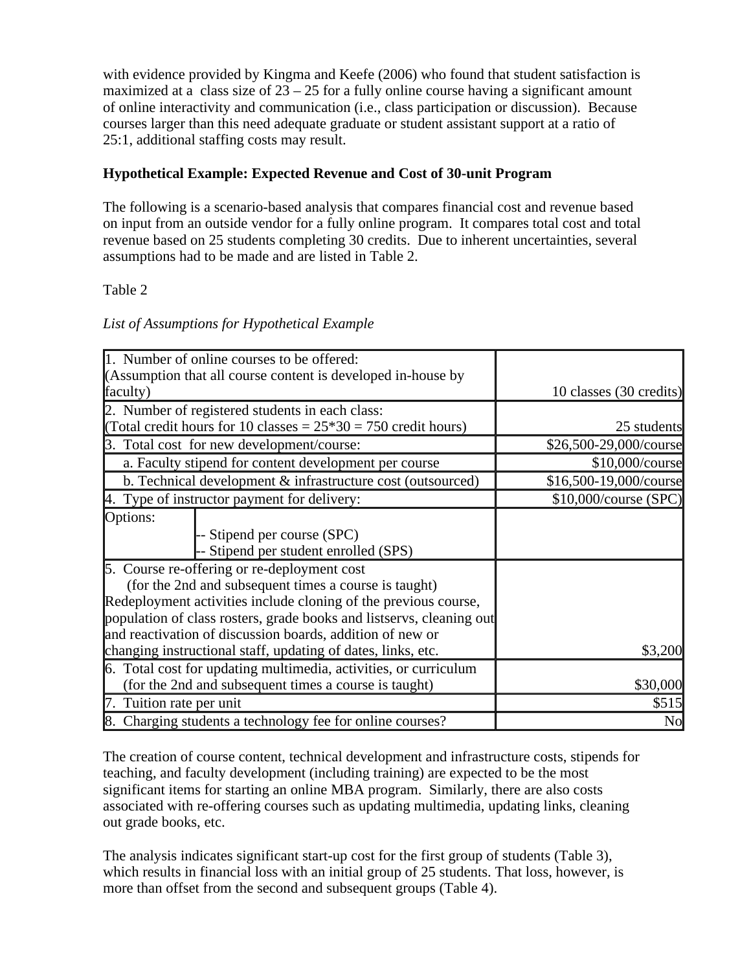with evidence provided by Kingma and Keefe (2006) who found that student satisfaction is maximized at a class size of  $23 - 25$  for a fully online course having a significant amount of online interactivity and communication (i.e., class participation or discussion). Because courses larger than this need adequate graduate or student assistant support at a ratio of 25:1, additional staffing costs may result.

# **Hypothetical Example: Expected Revenue and Cost of 30-unit Program**

The following is a scenario-based analysis that compares financial cost and revenue based on input from an outside vendor for a fully online program. It compares total cost and total revenue based on 25 students completing 30 credits. Due to inherent uncertainties, several assumptions had to be made and are listed in Table 2.

## Table 2

## *List of Assumptions for Hypothetical Example*

|                          | 1. Number of online courses to be offered:                           |                         |
|--------------------------|----------------------------------------------------------------------|-------------------------|
|                          | (Assumption that all course content is developed in-house by         |                         |
| faculty)                 |                                                                      | 10 classes (30 credits) |
|                          | 2. Number of registered students in each class:                      |                         |
|                          | (Total credit hours for 10 classes = $25*30 = 750$ credit hours)     | 25 students             |
|                          | 3. Total cost for new development/course:                            | \$26,500-29,000/course  |
|                          | a. Faculty stipend for content development per course                | \$10,000/course         |
|                          | b. Technical development & infrastructure cost (outsourced)          | \$16,500-19,000/course  |
|                          | 4. Type of instructor payment for delivery:                          | \$10,000/course (SPC)   |
| Options:                 |                                                                      |                         |
|                          | -- Stipend per course (SPC)                                          |                         |
|                          | -- Stipend per student enrolled (SPS)                                |                         |
|                          | 5. Course re-offering or re-deployment cost                          |                         |
|                          | (for the 2nd and subsequent times a course is taught)                |                         |
|                          | Redeployment activities include cloning of the previous course,      |                         |
|                          | population of class rosters, grade books and listservs, cleaning out |                         |
|                          | and reactivation of discussion boards, addition of new or            |                         |
|                          | changing instructional staff, updating of dates, links, etc.         | \$3,200                 |
|                          | 6. Total cost for updating multimedia, activities, or curriculum     |                         |
|                          | (for the 2nd and subsequent times a course is taught)                | \$30,000                |
| 7. Tuition rate per unit |                                                                      | \$515                   |
|                          | 8. Charging students a technology fee for online courses?            | No                      |

The creation of course content, technical development and infrastructure costs, stipends for teaching, and faculty development (including training) are expected to be the most significant items for starting an online MBA program. Similarly, there are also costs associated with re-offering courses such as updating multimedia, updating links, cleaning out grade books, etc.

The analysis indicates significant start-up cost for the first group of students (Table 3), which results in financial loss with an initial group of 25 students. That loss, however, is more than offset from the second and subsequent groups (Table 4).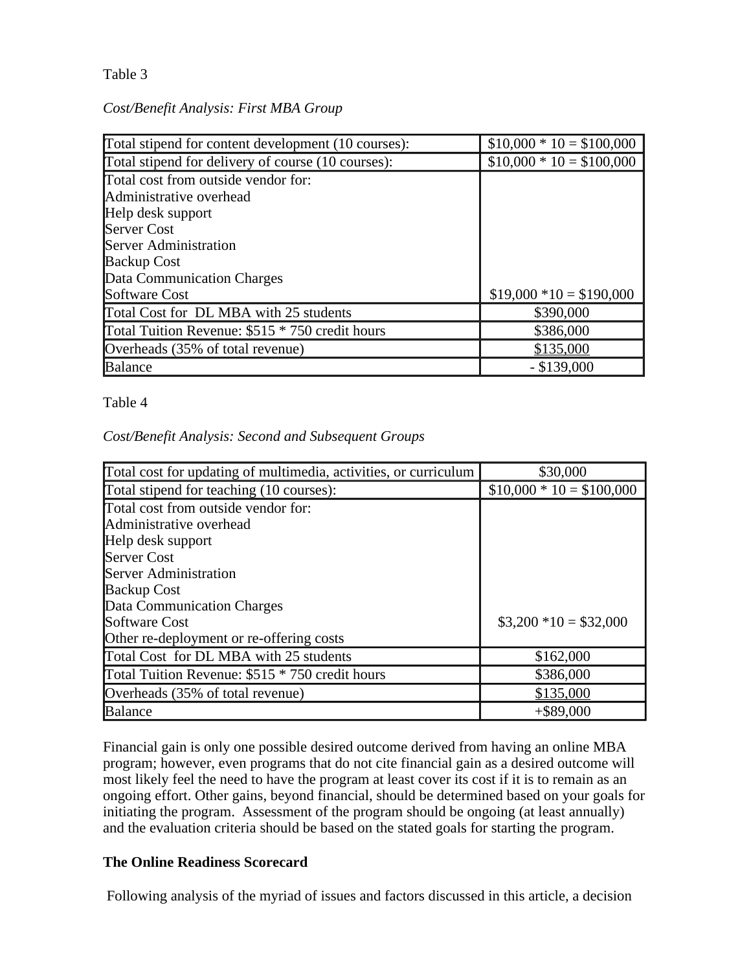## Table 3

## *Cost/Benefit Analysis: First MBA Group*

| Total stipend for content development (10 courses): | $$10,000 * 10 = $100,000$ |
|-----------------------------------------------------|---------------------------|
| Total stipend for delivery of course (10 courses):  | $$10,000 * 10 = $100,000$ |
| Total cost from outside vendor for:                 |                           |
| Administrative overhead                             |                           |
| Help desk support                                   |                           |
| <b>Server Cost</b>                                  |                           |
| <b>Server Administration</b>                        |                           |
| <b>Backup Cost</b>                                  |                           |
| Data Communication Charges                          |                           |
| <b>Software Cost</b>                                | $$19,000 * 10 = $190,000$ |
| Total Cost for DL MBA with 25 students              | \$390,000                 |
| Total Tuition Revenue: \$515 * 750 credit hours     | \$386,000                 |
| Overheads (35% of total revenue)                    | \$135,000                 |
| <b>Balance</b>                                      | $-$ \$139,000             |

## Table 4

## *Cost/Benefit Analysis: Second and Subsequent Groups*

| Total cost for updating of multimedia, activities, or curriculum | \$30,000                  |
|------------------------------------------------------------------|---------------------------|
| Total stipend for teaching (10 courses):                         | $$10,000 * 10 = $100,000$ |
| Total cost from outside vendor for:                              |                           |
| Administrative overhead                                          |                           |
| Help desk support                                                |                           |
| <b>Server Cost</b>                                               |                           |
| <b>Server Administration</b>                                     |                           |
| <b>Backup Cost</b>                                               |                           |
| Data Communication Charges                                       |                           |
| <b>Software Cost</b>                                             | $$3,200 *10 = $32,000$    |
| Other re-deployment or re-offering costs                         |                           |
| Total Cost for DL MBA with 25 students                           | \$162,000                 |
| Total Tuition Revenue: \$515 * 750 credit hours                  | \$386,000                 |
| Overheads (35% of total revenue)                                 | \$135,000                 |
| <b>Balance</b>                                                   | $+$ \$89,000              |

Financial gain is only one possible desired outcome derived from having an online MBA program; however, even programs that do not cite financial gain as a desired outcome will most likely feel the need to have the program at least cover its cost if it is to remain as an ongoing effort. Other gains, beyond financial, should be determined based on your goals for initiating the program. Assessment of the program should be ongoing (at least annually) and the evaluation criteria should be based on the stated goals for starting the program.

## **The Online Readiness Scorecard**

Following analysis of the myriad of issues and factors discussed in this article, a decision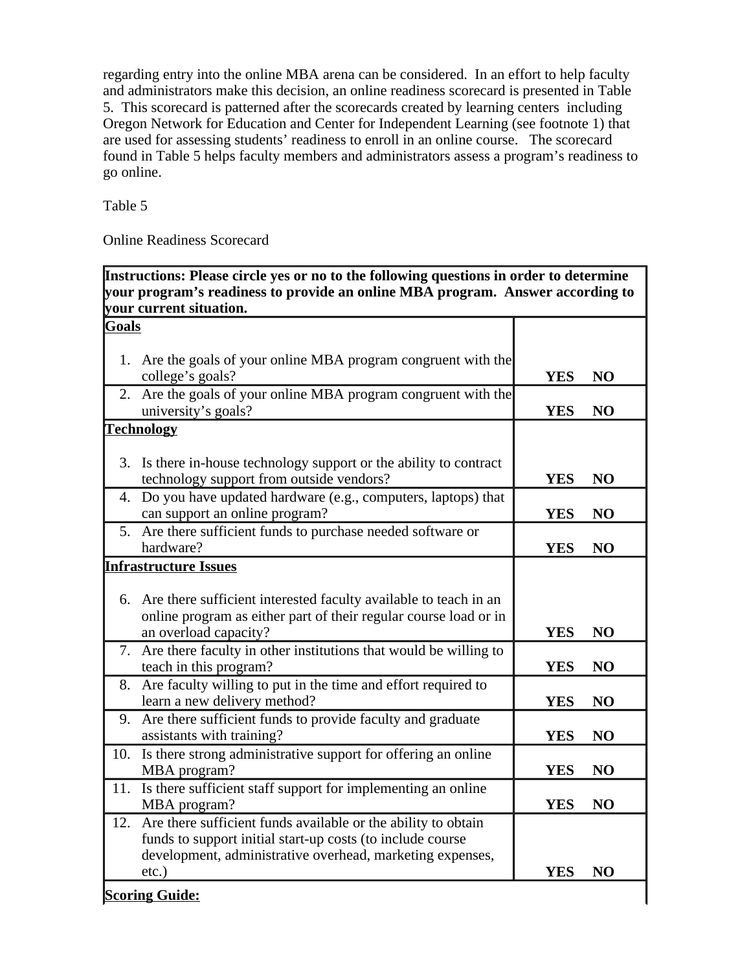regarding entry into the online MBA arena can be considered. In an effort to help faculty and administrators make this decision, an online readiness scorecard is presented in Table 5. This scorecard is patterned after the scorecards created by learning centers including Oregon Network for Education and Center for Independent Learning (see footnote 1) that are used for assessing students' readiness to enroll in an online course. The scorecard found in Table 5 helps faculty members and administrators assess a program's readiness to go online.

Table 5

Online Readiness Scorecard

| Instructions: Please circle yes or no to the following questions in order to determine |                                                                                                                                                                                                          |            |                |  |
|----------------------------------------------------------------------------------------|----------------------------------------------------------------------------------------------------------------------------------------------------------------------------------------------------------|------------|----------------|--|
|                                                                                        | your program's readiness to provide an online MBA program. Answer according to                                                                                                                           |            |                |  |
|                                                                                        | your current situation.                                                                                                                                                                                  |            |                |  |
| <b>Goals</b>                                                                           |                                                                                                                                                                                                          |            |                |  |
|                                                                                        | 1. Are the goals of your online MBA program congruent with the<br>college's goals?                                                                                                                       | <b>YES</b> | N <sub>O</sub> |  |
| 2.                                                                                     | Are the goals of your online MBA program congruent with the<br>university's goals?                                                                                                                       | <b>YES</b> | N <sub>O</sub> |  |
|                                                                                        | <b>Technology</b>                                                                                                                                                                                        |            |                |  |
|                                                                                        | 3. Is there in-house technology support or the ability to contract<br>technology support from outside vendors?                                                                                           | <b>YES</b> | N <sub>O</sub> |  |
|                                                                                        | 4. Do you have updated hardware (e.g., computers, laptops) that<br>can support an online program?                                                                                                        | <b>YES</b> | N <sub>O</sub> |  |
|                                                                                        | 5. Are there sufficient funds to purchase needed software or<br>hardware?                                                                                                                                | <b>YES</b> | NO             |  |
|                                                                                        | <b>Infrastructure Issues</b>                                                                                                                                                                             |            |                |  |
|                                                                                        | 6. Are there sufficient interested faculty available to teach in an<br>online program as either part of their regular course load or in<br>an overload capacity?                                         | <b>YES</b> | N <sub>O</sub> |  |
|                                                                                        | 7. Are there faculty in other institutions that would be willing to<br>teach in this program?                                                                                                            | <b>YES</b> | NO             |  |
| 8.                                                                                     | Are faculty willing to put in the time and effort required to<br>learn a new delivery method?                                                                                                            | <b>YES</b> | NO             |  |
|                                                                                        | 9. Are there sufficient funds to provide faculty and graduate<br>assistants with training?                                                                                                               | <b>YES</b> | N <sub>O</sub> |  |
|                                                                                        | 10. Is there strong administrative support for offering an online<br>MBA program?                                                                                                                        | <b>YES</b> | N <sub>O</sub> |  |
|                                                                                        | 11. Is there sufficient staff support for implementing an online<br>MBA program?                                                                                                                         | <b>YES</b> | NO             |  |
|                                                                                        | 12. Are there sufficient funds available or the ability to obtain<br>funds to support initial start-up costs (to include course<br>development, administrative overhead, marketing expenses,<br>$etc.$ ) | YES        | N <sub>O</sub> |  |

 $\mathsf{l}$ 

# **Scoring Guide:**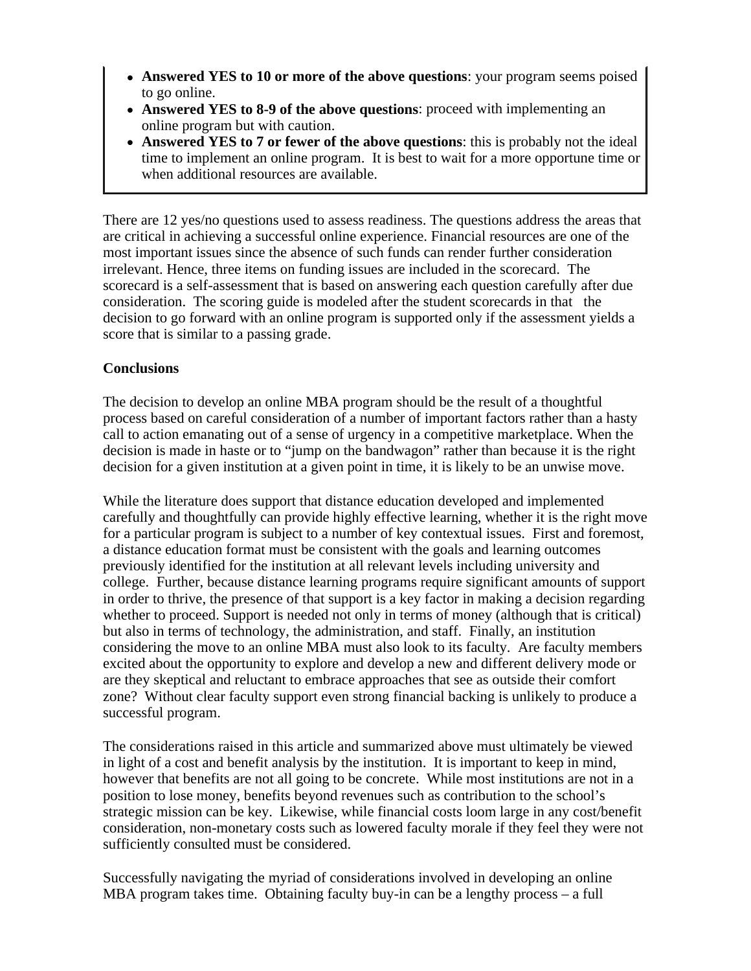- Answered YES to 10 or more of the above questions: your program seems poised to go online.
- Answered YES to 8-9 of the above questions: proceed with implementing an online program but with caution.
- Answered YES to 7 or fewer of the above questions: this is probably not the ideal time to implement an online program. It is best to wait for a more opportune time or when additional resources are available.

There are 12 yes/no questions used to assess readiness. The questions address the areas that are critical in achieving a successful online experience. Financial resources are one of the most important issues since the absence of such funds can render further consideration irrelevant. Hence, three items on funding issues are included in the scorecard. The scorecard is a self-assessment that is based on answering each question carefully after due consideration. The scoring guide is modeled after the student scorecards in that the decision to go forward with an online program is supported only if the assessment yields a score that is similar to a passing grade.

## **Conclusions**

The decision to develop an online MBA program should be the result of a thoughtful process based on careful consideration of a number of important factors rather than a hasty call to action emanating out of a sense of urgency in a competitive marketplace. When the decision is made in haste or to "jump on the bandwagon" rather than because it is the right decision for a given institution at a given point in time, it is likely to be an unwise move.

While the literature does support that distance education developed and implemented carefully and thoughtfully can provide highly effective learning, whether it is the right move for a particular program is subject to a number of key contextual issues. First and foremost, a distance education format must be consistent with the goals and learning outcomes previously identified for the institution at all relevant levels including university and college. Further, because distance learning programs require significant amounts of support in order to thrive, the presence of that support is a key factor in making a decision regarding whether to proceed. Support is needed not only in terms of money (although that is critical) but also in terms of technology, the administration, and staff. Finally, an institution considering the move to an online MBA must also look to its faculty. Are faculty members excited about the opportunity to explore and develop a new and different delivery mode or are they skeptical and reluctant to embrace approaches that see as outside their comfort zone? Without clear faculty support even strong financial backing is unlikely to produce a successful program.

The considerations raised in this article and summarized above must ultimately be viewed in light of a cost and benefit analysis by the institution. It is important to keep in mind, however that benefits are not all going to be concrete. While most institutions are not in a position to lose money, benefits beyond revenues such as contribution to the school's strategic mission can be key. Likewise, while financial costs loom large in any cost/benefit consideration, non-monetary costs such as lowered faculty morale if they feel they were not sufficiently consulted must be considered.

Successfully navigating the myriad of considerations involved in developing an online MBA program takes time. Obtaining faculty buy-in can be a lengthy process – a full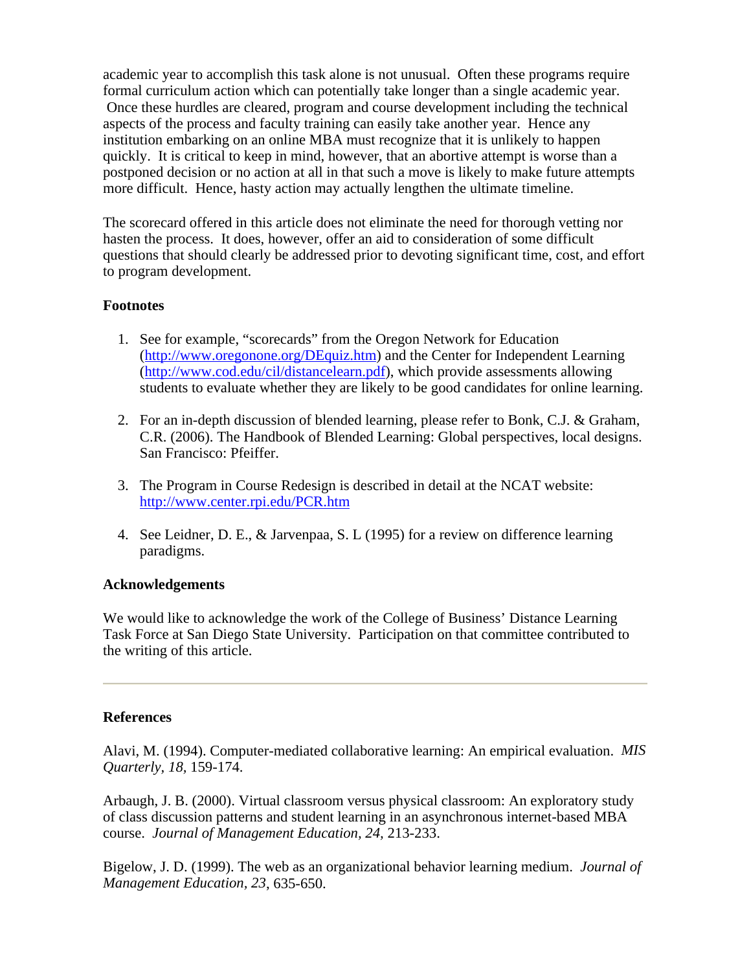academic year to accomplish this task alone is not unusual. Often these programs require formal curriculum action which can potentially take longer than a single academic year. Once these hurdles are cleared, program and course development including the technical aspects of the process and faculty training can easily take another year. Hence any institution embarking on an online MBA must recognize that it is unlikely to happen quickly. It is critical to keep in mind, however, that an abortive attempt is worse than a postponed decision or no action at all in that such a move is likely to make future attempts more difficult. Hence, hasty action may actually lengthen the ultimate timeline.

The scorecard offered in this article does not eliminate the need for thorough vetting nor hasten the process. It does, however, offer an aid to consideration of some difficult questions that should clearly be addressed prior to devoting significant time, cost, and effort to program development.

#### **Footnotes**

- 1. See for example, "scorecards" from the Oregon Network for Education (http://www.oregonone.org/DEquiz.htm) and the Center for Independent Learning (http://www.cod.edu/cil/distancelearn.pdf), which provide assessments allowing students to evaluate whether they are likely to be good candidates for online learning.
- 2. For an in-depth discussion of blended learning, please refer to Bonk, C.J. & Graham, C.R. (2006). The Handbook of Blended Learning: Global perspectives, local designs. San Francisco: Pfeiffer.
- 3. The Program in Course Redesign is described in detail at the NCAT website: http://www.center.rpi.edu/PCR.htm
- 4. See Leidner, D. E., & Jarvenpaa, S. L (1995) for a review on difference learning paradigms.

#### **Acknowledgements**

We would like to acknowledge the work of the College of Business' Distance Learning Task Force at San Diego State University. Participation on that committee contributed to the writing of this article.

#### **References**

Alavi, M. (1994). Computer-mediated collaborative learning: An empirical evaluation. *MIS Quarterly, 18,* 159-174.

Arbaugh, J. B. (2000). Virtual classroom versus physical classroom: An exploratory study of class discussion patterns and student learning in an asynchronous internet-based MBA course. *Journal of Management Education, 24,* 213-233.

Bigelow, J. D. (1999). The web as an organizational behavior learning medium. *Journal of Management Education, 23*, 635-650.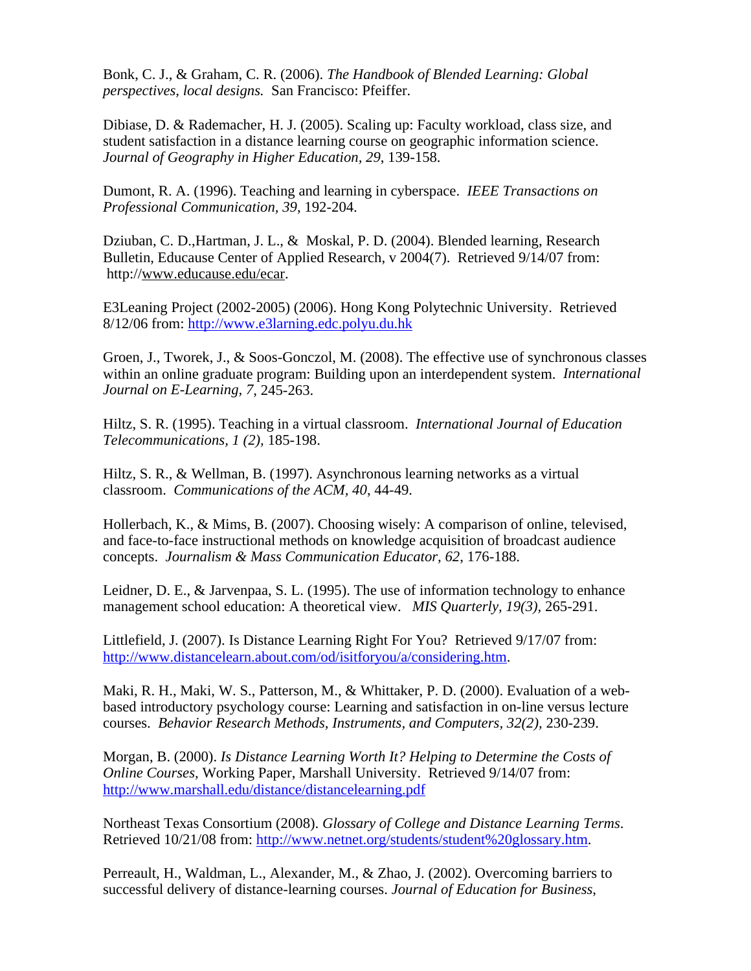Bonk, C. J., & Graham, C. R. (2006). *The Handbook of Blended Learning: Global perspectives, local designs.* San Francisco: Pfeiffer.

Dibiase, D. & Rademacher, H. J. (2005). Scaling up: Faculty workload, class size, and student satisfaction in a distance learning course on geographic information science. *Journal of Geography in Higher Education, 29*, 139-158.

Dumont, R. A. (1996). Teaching and learning in cyberspace. *IEEE Transactions on Professional Communication, 39*, 192-204.

Dziuban, C. D.,Hartman, J. L., & Moskal, P. D. (2004). Blended learning, Research Bulletin, Educause Center of Applied Research, v 2004(7). Retrieved 9/14/07 from: http://www.educause.edu/ecar.

E3Leaning Project (2002-2005) (2006). Hong Kong Polytechnic University. Retrieved 8/12/06 from: http://www.e3larning.edc.polyu.du.hk

Groen, J., Tworek, J., & Soos-Gonczol, M. (2008). The effective use of synchronous classes within an online graduate program: Building upon an interdependent system. *International Journal on E-Learning, 7*, 245-263.

Hiltz, S. R. (1995). Teaching in a virtual classroom. *International Journal of Education Telecommunications, 1 (2),* 185-198.

Hiltz, S. R., & Wellman, B. (1997). Asynchronous learning networks as a virtual classroom. *Communications of the ACM, 40*, 44-49.

Hollerbach, K., & Mims, B. (2007). Choosing wisely: A comparison of online, televised, and face-to-face instructional methods on knowledge acquisition of broadcast audience concepts. *Journalism & Mass Communication Educator, 62*, 176-188.

Leidner, D. E., & Jarvenpaa, S. L. (1995). The use of information technology to enhance management school education: A theoretical view. *MIS Quarterly, 19(3),* 265-291.

Littlefield, J. (2007). Is Distance Learning Right For You? Retrieved 9/17/07 from: http://www.distancelearn.about.com/od/isitforyou/a/considering.htm.

Maki, R. H., Maki, W. S., Patterson, M., & Whittaker, P. D. (2000). Evaluation of a webbased introductory psychology course: Learning and satisfaction in on-line versus lecture courses. *Behavior Research Methods, Instruments, and Computers, 32(2),* 230-239.

Morgan, B. (2000). *Is Distance Learning Worth It? Helping to Determine the Costs of Online Courses,* Working Paper, Marshall University. Retrieved 9/14/07 from: http://www.marshall.edu/distance/distancelearning.pdf

Northeast Texas Consortium (2008). *Glossary of College and Distance Learning Terms*. Retrieved 10/21/08 from: http://www.netnet.org/students/student%20glossary.htm.

Perreault, H., Waldman, L., Alexander, M., & Zhao, J. (2002). Overcoming barriers to successful delivery of distance-learning courses. *Journal of Education for Business*,